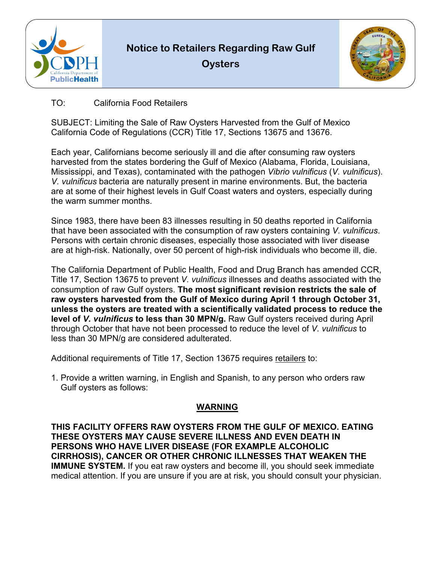

**Notice to Retailers Regarding Raw Gulf Oysters** 



## TO: California Food Retailers

SUBJECT: Limiting the Sale of Raw Oysters Harvested from the Gulf of Mexico California Code of Regulations (CCR) Title 17, Sections 13675 and 13676.

 *V. vulnificus* bacteria are naturally present in marine environments. But, the bacteria Each year, Californians become seriously ill and die after consuming raw oysters harvested from the states bordering the Gulf of Mexico (Alabama, Florida, Louisiana, Mississippi, and Texas), contaminated with the pathogen *Vibrio vulnificus* (*V. vulnificus*). are at some of their highest levels in Gulf Coast waters and oysters, especially during the warm summer months.

Since 1983, there have been 83 illnesses resulting in 50 deaths reported in California that have been associated with the consumption of raw oysters containing *V. vulnificus*. Persons with certain chronic diseases, especially those associated with liver disease are at high-risk. Nationally, over 50 percent of high-risk individuals who become ill, die.

 The California Department of Public Health, Food and Drug Branch has amended CCR,  **level of** *V. vulnificus* **to less than 30 MPN/g.** Raw Gulf oysters received during April through October that have not been processed to reduce the level of *V. vulnificus* to Title 17, Section 13675 to prevent *V. vulnificus* illnesses and deaths associated with the consumption of raw Gulf oysters. **The most significant revision restricts the sale of raw oysters harvested from the Gulf of Mexico during April 1 through October 31, unless the oysters are treated with a scientifically validated process to reduce the**  less than 30 MPN/g are considered adulterated.

Additional requirements of Title 17, Section 13675 requires <u>retailers</u> to:

1. Provide a written warning, in English and Spanish, to any person who orders raw Gulf oysters as follows:

## **WARNING**

**THIS FACILITY OFFERS RAW OYSTERS FROM THE GULF OF MEXICO. EATING THESE OYSTERS MAY CAUSE SEVERE ILLNESS AND EVEN DEATH IN PERSONS WHO HAVE LIVER DISEASE (FOR EXAMPLE ALCOHOLIC CIRRHOSIS), CANCER OR OTHER CHRONIC ILLNESSES THAT WEAKEN THE IMMUNE SYSTEM.** If you eat raw oysters and become ill, you should seek immediate medical attention. If you are unsure if you are at risk, you should consult your physician.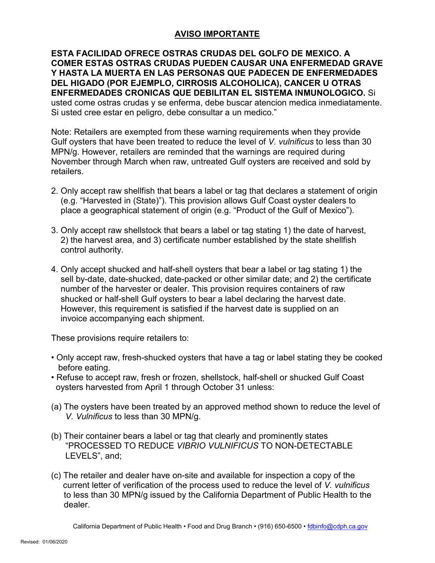## **AVISO IMPORTANTE**

 **ENFERMEDADES CRONICAS QUE DEBILITAN EL SISTEMA INMUNOLOGICO.** Si **ESTA FACILIDAD OFRECE OSTRAS CRUDAS DEL GOLFO DE MEXICO. A COMER ESTAS OSTRAS CRUDAS PUEDEN CAUSAR UNA ENFERMEDAD GRAVE Y HASTA LA MUERTA EN LAS PERSONAS QUE PADECEN DE ENFERMEDADES DEL HIGADO (POR EJEMPLO, CIRROSIS ALCOHOLICA), CANCER U OTRAS** usted come ostras crudas y se enferma, debe buscar atencion medica inmediatamente. Si usted cree estar en peligro, debe consultar a un medico."

 Gulf oysters that have been treated to reduce the level of *V. vulnificus* to less than 30 Note: Retailers are exempted from these warning requirements when they provide MPN/g. However, retailers are reminded that the warnings are required during November through March when raw, untreated Gulf oysters are received and sold by retailers.

- 2. Only accept raw shellfish that bears a label or tag that declares a statement of origin (e.g. "Harvested in (State)"). This provision allows Gulf Coast oyster dealers to place a geographical statement of origin (e.g. "Product of the Gulf of Mexico").
- 3. Only accept raw shellstock that bears a label or tag stating 1) the date of harvest, 2) the harvest area, and 3) certificate number established by the state shellfish control authority.
- 4. Only accept shucked and half-shell oysters that bear a label or tag stating 1) the sell by-date, date-shucked, date-packed or other similar date; and 2) the certificate number of the harvester or dealer. This provision requires containers of raw shucked or half-shell Gulf oysters to bear a label declaring the harvest date. However, this requirement is satisfied if the harvest date is supplied on an invoice accompanying each shipment.

These provisions require retailers to:

- Only accept raw, fresh-shucked oysters that have a tag or label stating they be cooked before eating.
- • Refuse to accept raw, fresh or frozen, shellstock, half-shell or shucked Gulf Coast oysters harvested from April 1 through October 31 unless:
- (a) The oysters have been treated by an approved method shown to reduce the level of *V. Vulnificus* to less than 30 MPN/g.
- (b) Their container bears a label or tag that clearly and prominently states "PROCESSED TO REDUCE *VIBRIO VULNIFICUS* TO NON-DETECTABLE LEVELS", and;
- to less than 30 MPN/g issued by the California Department of Public Health to the (c) The retailer and dealer have on-site and available for inspection a copy of the current letter of verification of the process used to reduce the level of *V. vulnificus*  dealer.